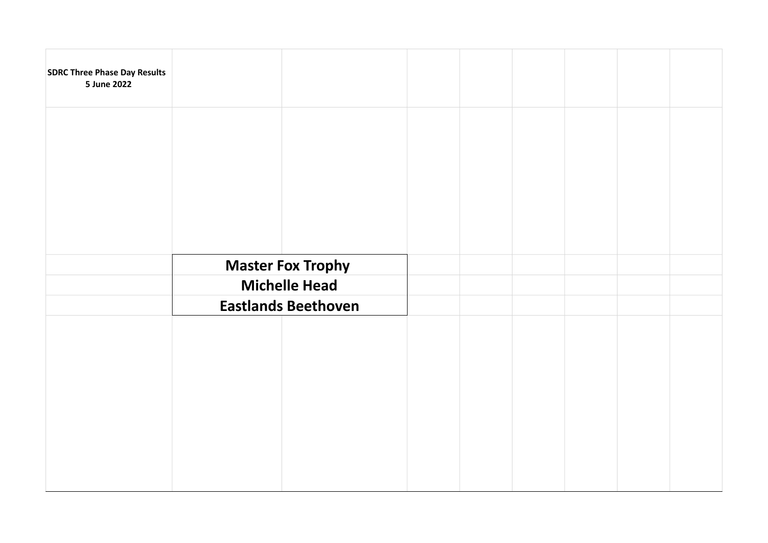| <b>SDRC Three Phase Day Results</b><br>5 June 2022 |                            |  |  |  |  |
|----------------------------------------------------|----------------------------|--|--|--|--|
|                                                    |                            |  |  |  |  |
|                                                    |                            |  |  |  |  |
|                                                    |                            |  |  |  |  |
|                                                    | <b>Master Fox Trophy</b>   |  |  |  |  |
|                                                    | <b>Michelle Head</b>       |  |  |  |  |
|                                                    | <b>Eastlands Beethoven</b> |  |  |  |  |
|                                                    |                            |  |  |  |  |
|                                                    |                            |  |  |  |  |
|                                                    |                            |  |  |  |  |
|                                                    |                            |  |  |  |  |
|                                                    |                            |  |  |  |  |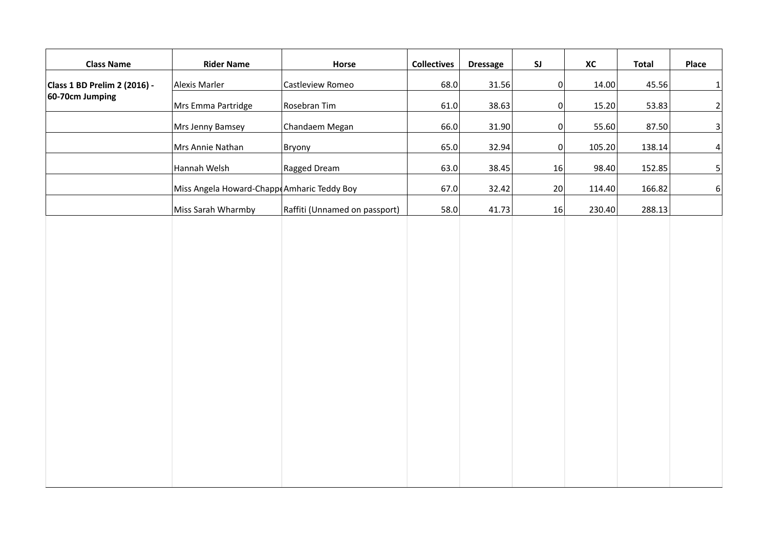| <b>Class Name</b>                               | <b>Rider Name</b>                          | Horse                         | <b>Collectives</b> | <b>Dressage</b> | $\mathsf{S}\mathsf{J}$ | XC     | <b>Total</b> | Place                   |
|-------------------------------------------------|--------------------------------------------|-------------------------------|--------------------|-----------------|------------------------|--------|--------------|-------------------------|
| Class 1 BD Prelim 2 (2016) -<br>60-70cm Jumping | Alexis Marler                              | Castleview Romeo              | 68.0               | 31.56           | 0                      | 14.00  | 45.56        | $\mathbf{1}$            |
|                                                 | Mrs Emma Partridge                         | Rosebran Tim                  | 61.0               | 38.63           | 0                      | 15.20  | 53.83        | $\mathbf{2}$            |
|                                                 | Mrs Jenny Bamsey                           | Chandaem Megan                | 66.0               | 31.90           | 0                      | 55.60  | 87.50        | $\overline{\mathbf{3}}$ |
|                                                 | Mrs Annie Nathan                           | Bryony                        | 65.0               | 32.94           | 0                      | 105.20 | 138.14       | $\vert 4 \vert$         |
|                                                 | Hannah Welsh                               | Ragged Dream                  | 63.0               | 38.45           | 16                     | 98.40  | 152.85       | $\mathbf{5}$            |
|                                                 | Miss Angela Howard-Chapp Amharic Teddy Boy |                               | 67.0               | 32.42           | 20                     | 114.40 | 166.82       | 6 <sup>1</sup>          |
|                                                 | Miss Sarah Wharmby                         | Raffiti (Unnamed on passport) | 58.0               | 41.73           | 16                     | 230.40 | 288.13       |                         |
|                                                 |                                            |                               |                    |                 |                        |        |              |                         |
|                                                 |                                            |                               |                    |                 |                        |        |              |                         |
|                                                 |                                            |                               |                    |                 |                        |        |              |                         |
|                                                 |                                            |                               |                    |                 |                        |        |              |                         |
|                                                 |                                            |                               |                    |                 |                        |        |              |                         |
|                                                 |                                            |                               |                    |                 |                        |        |              |                         |
|                                                 |                                            |                               |                    |                 |                        |        |              |                         |
|                                                 |                                            |                               |                    |                 |                        |        |              |                         |
|                                                 |                                            |                               |                    |                 |                        |        |              |                         |
|                                                 |                                            |                               |                    |                 |                        |        |              |                         |
|                                                 |                                            |                               |                    |                 |                        |        |              |                         |
|                                                 |                                            |                               |                    |                 |                        |        |              |                         |
|                                                 |                                            |                               |                    |                 |                        |        |              |                         |
|                                                 |                                            |                               |                    |                 |                        |        |              |                         |